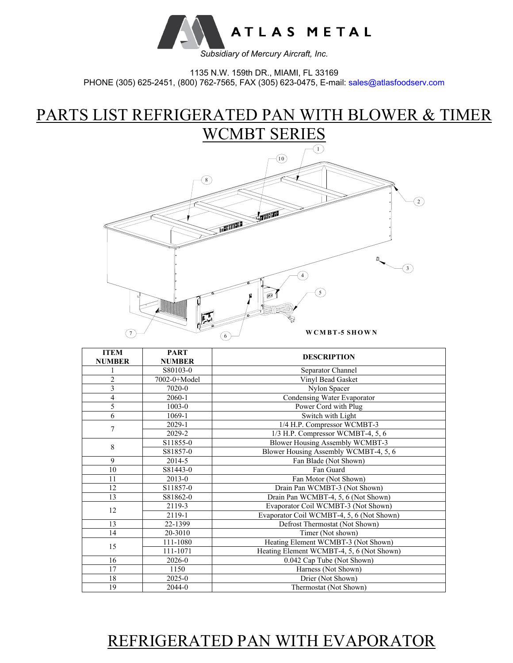

1135 N.W. 159th DR., MIAMI, FL 33169 PHONE (305) 625-2451, (800) 762-7565, FAX (305) 623-0475, E-mail: sales@atlasfoodserv.com

## PARTS LIST REFRIGERATED PAN WITH BLOWER & TIMER WCMBT SERIES



| <b>ITEM</b>    | <b>PART</b>   | <b>DESCRIPTION</b>                        |  |
|----------------|---------------|-------------------------------------------|--|
| <b>NUMBER</b>  | <b>NUMBER</b> |                                           |  |
|                | S80103-0      | Separator Channel                         |  |
| $\overline{2}$ | 7002-0+Model  | Vinyl Bead Gasket                         |  |
| 3              | 7020-0        | Nylon Spacer                              |  |
| 4              | 2060-1        | Condensing Water Evaporator               |  |
| 5              | $1003 - 0$    | Power Cord with Plug                      |  |
| 6              | 1069-1        | Switch with Light                         |  |
| $\overline{7}$ | 2029-1        | 1/4 H.P. Compressor WCMBT-3               |  |
|                | 2029-2        | $1/3$ H.P. Compressor WCMBT-4, 5, 6       |  |
| 8              | S11855-0      | <b>Blower Housing Assembly WCMBT-3</b>    |  |
|                | S81857-0      | Blower Housing Assembly WCMBT-4, 5, 6     |  |
| 9              | 2014-5        | Fan Blade (Not Shown)                     |  |
| 10             | S81443-0      | Fan Guard                                 |  |
| 11             | $2013 - 0$    | Fan Motor (Not Shown)                     |  |
| 12             | S11857-0      | Drain Pan WCMBT-3 (Not Shown)             |  |
| 13             | S81862-0      | Drain Pan WCMBT-4, 5, 6 (Not Shown)       |  |
| 12             | 2119-3        | Evaporator Coil WCMBT-3 (Not Shown)       |  |
|                | 2119-1        | Evaporator Coil WCMBT-4, 5, 6 (Not Shown) |  |
| 13             | 22-1399       | Defrost Thermostat (Not Shown)            |  |
| 14             | 20-3010       | Timer (Not shown)                         |  |
| 15             | 111-1080      | Heating Element WCMBT-3 (Not Shown)       |  |
|                | 111-1071      | Heating Element WCMBT-4, 5, 6 (Not Shown) |  |
| 16             | 2026-0        | 0.042 Cap Tube (Not Shown)                |  |
| 17             | 1150          | Harness (Not Shown)                       |  |
| 18             | 2025-0        | Drier (Not Shown)                         |  |
| 19             | 2044-0        | Thermostat (Not Shown)                    |  |

# REFRIGERATED PAN WITH EVAPORATOR